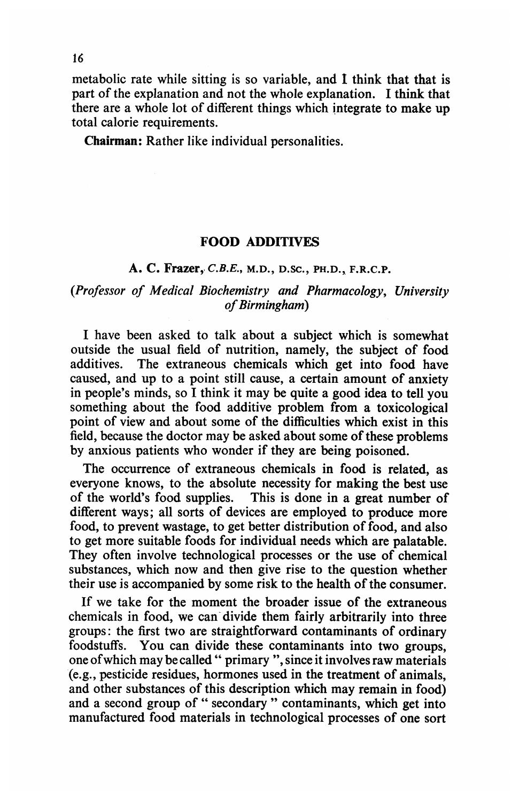metabolic rate while sitting is so variable, and I think that that is part of the explanation and not the whole explanation. I think that there are a whole lot of different things which integrate to make up total calorie requirements.

Chairman: Rather like individual personalities.

## FOOD ADDITIVES

## A. C. Frazer, C.B.E., M.D., D.SC., PH.D., F.R.C.P.

## (Professor of Medical Biochemistry and Pharmacology, University of Birmingham)

<sup>I</sup> have been asked to talk about a subject which is somewhat outside the usual field of nutrition, namely, the subject of food additives. The extraneous chemicals which get into food have caused, and up to a point still cause, a certain amount of anxiety in people's minds, so <sup>I</sup> think it may be quite a good idea to tell you something about the food additive problem from a toxicological point of view and about some of the difficulties which exist in this field, because the doctor may be asked about some of these problems by anxious patients who wonder if they are being poisoned.

The occurrence of extraneous chemicals in food is related, as everyone knows, to the absolute necessity for making the best use of the world's food supplies. This is done in a great number of This is done in a great number of different ways; all sorts of devices are employed to produce more food, to prevent wastage, to get better distribution of food, and also to get more suitable foods for individual needs which are palatable. They often involve technological processes or the use of chemical substances, which now and then give rise to the question whether their use is accompanied by some risk to the health of the consumer.

If we take for the moment the broader issue of the extraneous chemicals in food, we can-divide them fairly arbitrarily into three groups: the first two are straightforward contaminants of ordinary foodstuffs. You can divide these contaminants into two groups, one ofwhich may be called " primary ", since it involves raw materials (e.g., pesticide residues, hormones used in the treatment of animals, and other substances of this description which may remain in food) and a second group of " secondary " contaminants, which get into manufactured food materials in technological processes of one sort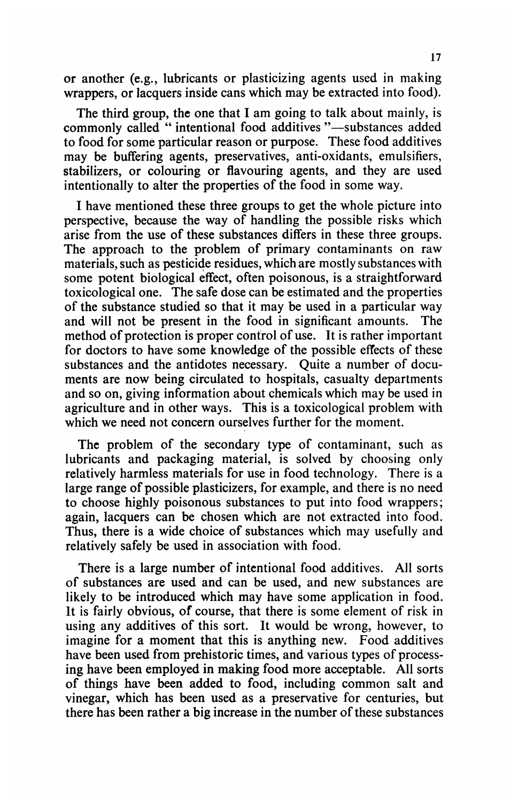or another (e.g., lubricants or plasticizing agents used in making wrappers, or lacquers inside cans which may be extracted into food).

The third group, the one that <sup>I</sup> am going to talk about mainly, is commonly called " intentional food additives "-substances added to food for some particular reason or purpose. These food additives may be buffering agents, preservatives, anti-oxidants, emulsifiers, stabilizers, or colouring or flavouring agents, and they are used intentionally to alter the properties of the food in some way.

I have mentioned these three groups to get the whole picture into perspective, because the way of handling the possible risks which arise from the use of these substances differs in these three groups. The approach to the problem of primary contaminants on raw materials, such as pesticide residues, which are mostly substances with some potent biological effect, often poisonous, is a straightforward toxicological one. The safe dose can be estimated and the properties of the substance studied so that it may be used in a particular way<br>and will not be present in the food in significant amounts. The and will not be present in the food in significant amounts. method of protection is proper control of use. It is rather important for doctors to have some knowledge of the possible effects of these substances and the antidotes necessary. Quite a number of documents are now being circulated to hospitals, casualty departments and so on, giving information about chemicals which may be used in agriculture and in other ways. This is a toxicological problem with which we need not concern ourselves further for the moment.

The problem of the secondary type of contaminant, such as lubricants and packaging material, is solved by choosing only relatively harmless materials for use in food technology. There is a large range of possible plasticizers, for example, and there is no need to choose highly poisonous substances to put into food wrappers; again, lacquers can be chosen which are not extracted into food. Thus, there is a wide choice of substances which may usefully and relatively safely be used in association with food.

There is a large number of intentional food additives. All sorts of substances are used and can be used, and new substances are likely to be introduced which may have some application in food. It is fairly obvious, of course, that there is some element of risk in using any additives of this sort. It would be wrong, however, to imagine for a moment that this is anything new. Food additives have been used from prehistoric times, and various types of processing have been employed in making food more acceptable. All sorts of things have been added to food, including common salt and vinegar, which has been used as a preservative for centuries, but there has been rather a big increase in the number of these substances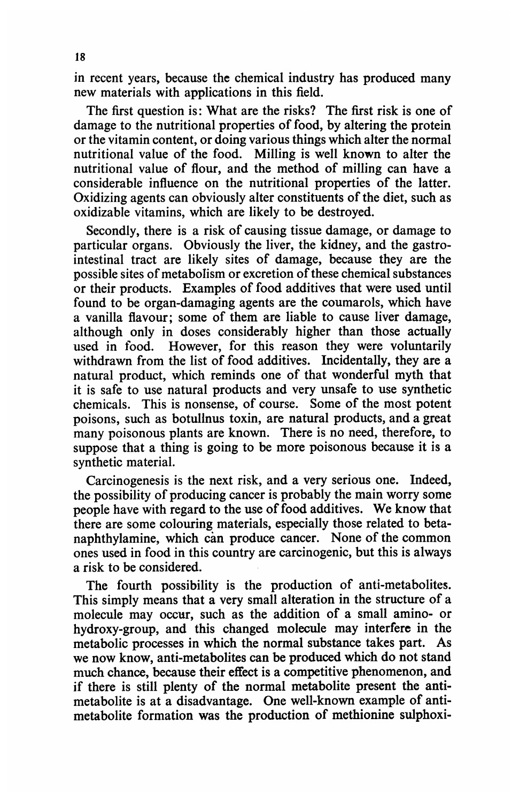in recent years, because the chemical industry has produced many new materials with applications in this field.

The first question is: What are the risks? The first risk is one of damage to the nutritional properties of food, by altering the protein or the vitamin content, or doing various things which alter the normal nutritional value of the food. Milling is well known to alter the nutritional value of flour, and the method of milling can have a considerable influence on the nutritional properties of the latter. Oxidizing agents can obviously alter constituents of the diet, such as oxidizable vitamins, which are likely to be destroyed.

Secondly, there is a risk of causing tissue damage, or damage to particular organs. Obviously the liver, the kidney, and the gastrointestinal tract are likely sites of damage, because they are the possible sites of metabolism or excretion of these chemical substances or their products. Examples of food additives that were used until found to be organ-damaging agents are the coumarols, which have a vanilla flavour; some of them are liable to cause liver damage, although only in doses considerably higher than those actually used in food. However, for this reason they were voluntarily withdrawn from the list of food additives. Incidentally, they are a natural product, which reminds one of that wonderful myth that it is safe to use natural products and very unsafe to use synthetic chemicals. This is nonsense, of course. Some of the most potent poisons, such as botulinus toxin, are natural products, and a great many poisonous plants are known. There is no need, therefore, to suppose that a thing is going to be more poisonous because it is a synthetic material.

Carcinogenesis is the next risk, and a very serious one. Indeed, the possibility of producing cancer is probably the main worry some people have with regard to the use of food additives. We know that there are some colouring materials, especially those related to betanaphthylamine, which can produce cancer. None of the common ones used in food in this country are carcinogenic, but this is always a risk to be considered.

The fourth possibility is the production of anti-metabolites. This simply means that a very small alteration in the structure of a molecule may occur, such as the addition of a small amino- or hydroxy-group, and this changed molecule may interfere in the metabolic processes in which the normal substance takes part. As we now know, anti-metabolites can be produced which do not stand much chance, because their effect is a competitive phenomenon, and if there is still plenty of the normal metabolite present the antimetabolite is at a disadvantage. One well-known example of antimetabolite formation was the production of methionine sulphoxi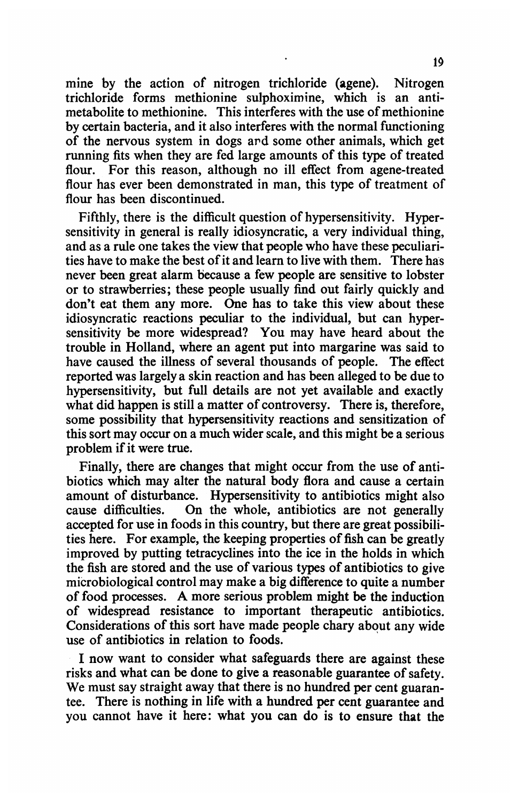mine by the action of nitrogen trichloride (agene). Nitrogen trichloride forms methionine sulphoximine, which is an antimetabolite to methionine. This interferes with the use of methionine by certain bacteria, and it also interferes with the normal functioning of the nervous system in dogs ard some other animals, which get running fits when they are fed large amounts of this type of treated flour. For this reason, although no ill effect from agene-treated flour has ever been demonstrated in man, this type of treatment of flour has been discontinued.

Fifthly, there is the difficult question of hypersensitivity. Hypersensitivity in general is really idiosyncratic, a very individual thing, and as a rule one takes the view that people who have these peculiarities have to make the best of it and learn to live with them. There has never been great alarm because a few people are sensitive to lobster or to strawberries; these people usually find out fairly quickly and don't eat them any more. One has to take this view about these idiosyncratic reactions peculiar to the individual, but can hypersensitivity be more widespread? You may have heard about the trouble in Holland, where an agent put into margarine was said to have caused the illness of several thousands of people. The effect reported was largely a skin reaction and has been alleged to be due to hypersensitivity, but full details are not yet available and exactly what did happen is still a matter of controversy. There is, therefore, some possibility that hypersensitivity reactions and sensitization of this sort may occur on a much wider scale, and this might be a serious problem if it were true.

Finally, there are changes that might occur from the use of antibiotics which may alter the natural body flora and cause a certain amount of disturbance. Hypersensitivity to antibiotics might also cause difficulties. On the whole, antibiotics are not generally accepted for use in foods in this country, but there are great possibilities here. For example, the keeping properties of fish can be greatly improved by putting tetracyclines into the ice in the holds in which the fish are stored and the use of various types of antibiotics to give microbiological control may make a big difference to quite a number of food processes. A more serious problem might be the induction of widespread resistance to important therapeutic antibiotics. Considerations of this sort have made people chary about any wide use of antibiotics in relation to foods.

<sup>I</sup> now want to consider what safeguards there are against these risks and what can be done to give a reasonable guarantee of safety. We must say straight away that there is no hundred per cent guarantee. There is nothing in life with a hundred per cent guarantee and you cannot have it here: what you can do is to ensure that the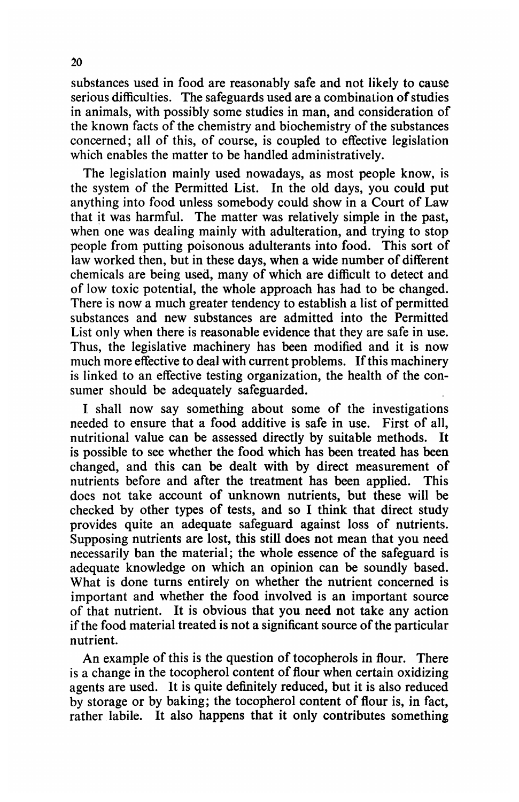substances used in food are reasonably safe and not likely to cause serious difficulties. The safeguards used are a combination of studies in animals, with possibly some studies in man, and consideration of the known facts of the chemistry and biochemistry of the substances concerned; all of this, of course, is coupled to effective legislation which enables the matter to be handled administratively.

The legislation mainly used nowadays, as most people know, is the system of the Permitted List. In the old days, you could put anything into food unless somebody could show in a Court of Law that it was harmful. The matter was relatively simple in the past, when one was dealing mainly with adulteration, and trying to stop people from putting poisonous adulterants into food. This sort of law worked then, but in these days, when a wide number of different chemicals are being used, many of which are difficult to detect and of low toxic potential, the whole approach has had to be changed. There is now a much greater tendency to establish a list of permitted substances and new substances are admitted into the Permitted List only when there is reasonable evidence that they are safe in use. Thus, the legislative machinery has been modified and it is now much more effective to deal with current problems. If this machinery is linked to an effective testing organization, the health of the consumer should be adequately safeguarded.

<sup>I</sup> shall now say something about some of the investigations needed to ensure that a food additive is safe in use. First of all, nutritional value can be assessed directly by suitable methods. It is possible to see whether the food which has been treated has been changed, and this can be dealt with by direct measurement of nutrients before and after the treatment has been applied. This does not take account of unknown nutrients, but these will be checked by other types of tests, and so <sup>I</sup> think that direct study provides quite an adequate safeguard against loss of nutrients. Supposing nutrients are lost, this still does not mean that you need necessarily ban the material; the whole essence of the safeguard is adequate knowledge on which an opinion can be soundly based. What is done turns entirely on whether the nutrient concerned is important and whether the food involved is an important source of that nutrient. It is obvious that you need not take any action if the food material treated is not a significant source of the particular nutrient.

An example of this is the question of tocopherols in flour. There is a change in the tocopherol content of flour when certain oxidizing agents are used. It is quite definitely reduced, but it is also reduced by storage or by baking; the tocopherol content of flour is, in fact, rather labile. It also happens that it only contributes something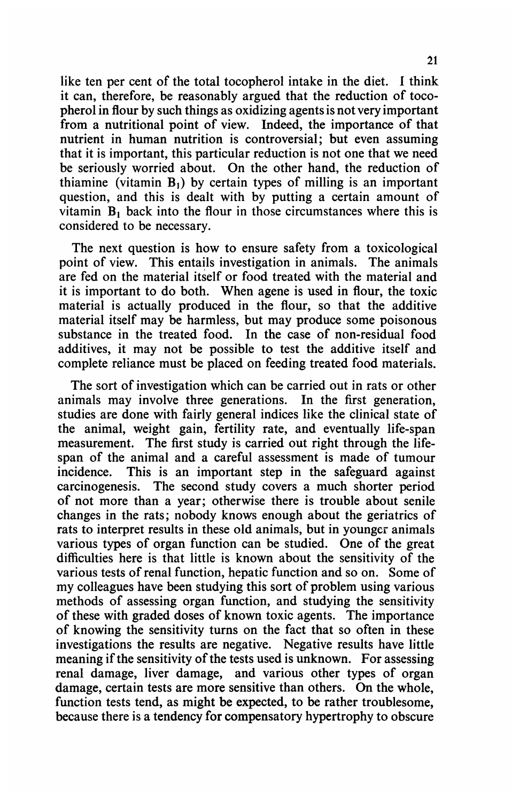like ten per cent of the total tocopherol intake in the diet. <sup>I</sup> think it can, therefore, be reasonably argued that the reduction of tocopherol in flour by such things as oxidizing agents is not very important from a nutritional point of view. Indeed, the importance of that nutrient in human nutrition is controversial; but even assuming that it is important, this particular reduction is not one that we need be seriously worried about. On the other hand, the reduction of thiamine (vitamin  $B_1$ ) by certain types of milling is an important question, and this is dealt with by putting a certain amount of vitamin  $B_1$  back into the flour in those circumstances where this is considered to be necessary.

The next question is how to ensure safety from a toxicological point of view. This entails investigation in animals. The animals are fed on the material itself or food treated with the material and it is important to do both. When agene is used in flour, the toxic material is actually produced in the flour, so that the additive material itself may be harmless, but may produce some poisonous substance in the treated food. In the case of non-residual food additives, it may not be possible to test the additive itself and complete reliance must be placed on feeding treated food materials.

The sort of investigation which can be carried out in rats or other animals may involve three generations. In the first generation, studies are done with fairly general indices like the clinical state of the animal, weight gain, fertility rate, and eventually life-span measurement. The first study is carried out right through the lifespan of the animal and a careful assessment is made of tumour incidence. This is an important step in the safeguard against carcinogenesis. The second study covers a much shorter period of not more than a year; otherwise there is trouble about senile changes in the rats; nobody knows enough about the geriatrics of rats to interpret results in these old animals, but in youngcr animals various types of organ function can be studied. One of the great difficulties here is that little is known about the sensitivity of the various tests of renal function, hepatic function and so on. Some of my colleagues have been studying this sort of problem using various methods of assessing organ function, and studying the sensitivity of these with graded doses of known toxic agents. The importance of knowing the sensitivity turns on the fact that so often in these investigations the results are negative. Negative results have little meaning if the sensitivity of the tests used is unknown. For assessing renal damage, liver damage, and various other types of organ damage, certain tests are more sensitive than others. On the whole, function tests tend, as might be expected, to be rather troublesome, because there is a tendency for compensatory hypertrophy to obscure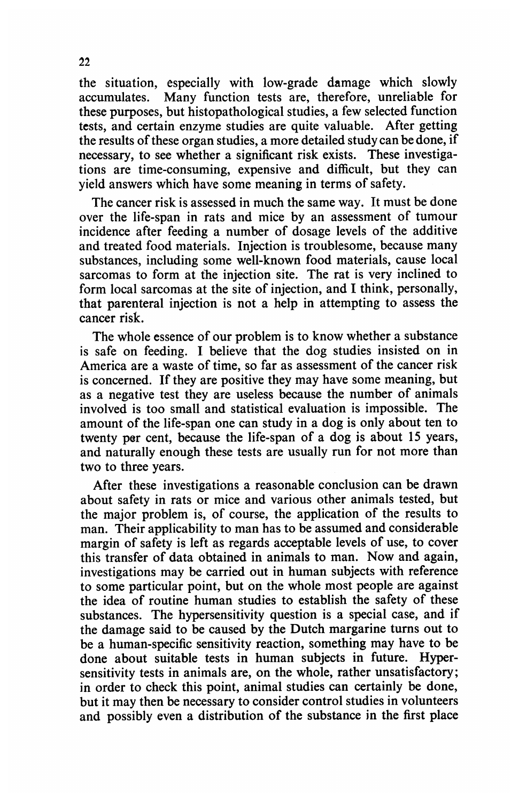the situation, especially with low-grade damage which slowly accumulates. Many function tests are, therefore, unreliable for these purposes, but histopathological studies, a few selected function tests, and certain enzyme studies are quite valuable. After getting the results of these organ studies, a more detailed study can be done, if necessary, to see whether a significant risk exists. These investigations are time-consuming, expensive and difficult, but they can yield answers which have some meaning in terms of safety.

The cancer risk is assessed in much the same way. It must be done over the life-span in rats and mice by an assessment of tumour incidence after feeding a number of dosage levels of the additive and treated food materials. Injection is troublesome, because many substances, including some well-known food materials, cause local sarcomas to form at the injection site. The rat is very inclined to form local sarcomas at the site of injection, and <sup>I</sup> think, personally, that parenteral injection is not a help in attempting to assess the cancer risk.

The whole essence of our problem is to know whether a substance is safe on feeding. <sup>I</sup> believe that the dog studies insisted on in America are a waste of time, so far as assessment of the cancer risk is concerned. If they are positive they may have some meaning, but as a negative test they are useless because the number of animals involved is too small and statistical evaluation is impossible. The amount of the life-span one can study in a dog is only about ten to twenty per cent, because the life-span of a dog is about 15 years, and naturally enough these tests are usually run for not more than two to three years.

After these investigations a reasonable conclusion can be drawn about safety in rats or mice and various other animals tested, but the major problem is, of course, the application of the results to man. Their applicability to man has to be assumed and considerable margin of safety is left as regards acceptable levels of use, to cover this transfer of data obtained in animals to man. Now and again, investigations may be carried out in human subjects with reference to some particular point, but on the whole most people are against the idea of routine human studies to establish the safety of these substances. The hypersensitivity question is a special case, and if the damage said to be caused by the Dutch margarine turns out to be a human-specific sensitivity reaction, something may have to be done about suitable tests in human subjects in future. Hypersensitivity tests in animals are, on the whole, rather unsatisfactory; in order to check this point, animal studies can certainly be done, but it may then be necessary to consider control studies in volunteers and possibly even a distribution of the substance in the first place